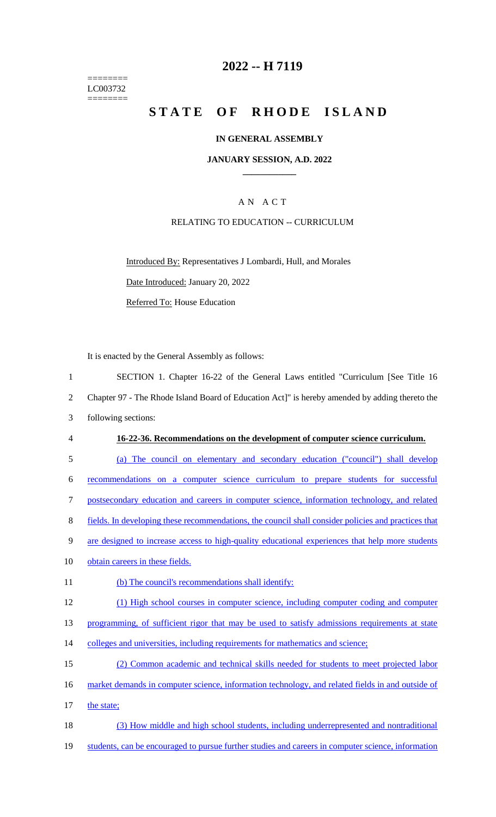======== LC003732  $=$ 

# **2022 -- H 7119**

# STATE OF RHODE ISLAND

## **IN GENERAL ASSEMBLY**

### **JANUARY SESSION, A.D. 2022 \_\_\_\_\_\_\_\_\_\_\_\_**

# A N A C T

# RELATING TO EDUCATION -- CURRICULUM

Introduced By: Representatives J Lombardi, Hull, and Morales Date Introduced: January 20, 2022 Referred To: House Education

It is enacted by the General Assembly as follows:

| $\mathbf{1}$   | SECTION 1. Chapter 16-22 of the General Laws entitled "Curriculum [See Title 16                     |
|----------------|-----------------------------------------------------------------------------------------------------|
| $\overline{2}$ | Chapter 97 - The Rhode Island Board of Education Act]" is hereby amended by adding thereto the      |
| 3              | following sections:                                                                                 |
| $\overline{4}$ | 16-22-36. Recommendations on the development of computer science curriculum.                        |
| 5              | (a) The council on elementary and secondary education ("council") shall develop                     |
| 6              | recommendations on a computer science curriculum to prepare students for successful                 |
| 7              | postsecondary education and careers in computer science, information technology, and related        |
| 8              | fields. In developing these recommendations, the council shall consider policies and practices that |
| 9              | are designed to increase access to high-quality educational experiences that help more students     |
| 10             | obtain careers in these fields.                                                                     |
| 11             | (b) The council's recommendations shall identify:                                                   |
| 12             | (1) High school courses in computer science, including computer coding and computer                 |
| 13             | programming, of sufficient rigor that may be used to satisfy admissions requirements at state       |
| 14             | colleges and universities, including requirements for mathematics and science;                      |
| 15             | (2) Common academic and technical skills needed for students to meet projected labor                |
| 16             | market demands in computer science, information technology, and related fields in and outside of    |
| 17             | the state;                                                                                          |
| 18             | (3) How middle and high school students, including underrepresented and nontraditional              |
| 19             | students, can be encouraged to pursue further studies and careers in computer science, information  |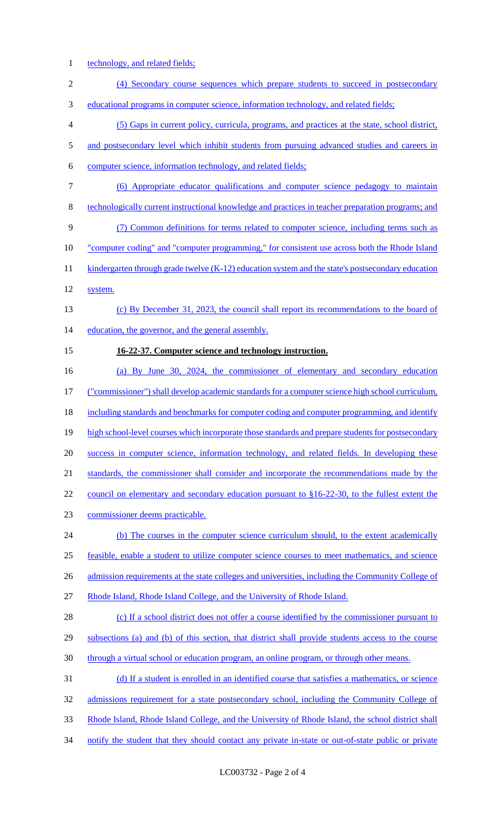1 technology, and related fields;

| $\sqrt{2}$     | (4) Secondary course sequences which prepare students to succeed in postsecondary                   |
|----------------|-----------------------------------------------------------------------------------------------------|
| 3              | <u>educational programs in computer science, information technology, and related fields;</u>        |
| $\overline{4}$ | (5) Gaps in current policy, curricula, programs, and practices at the state, school district,       |
| 5              | and postsecondary level which inhibit students from pursuing advanced studies and careers in        |
| 6              | computer science, information technology, and related fields;                                       |
| $\tau$         | (6) Appropriate educator qualifications and computer science pedagogy to maintain                   |
| $8\,$          | technologically current instructional knowledge and practices in teacher preparation programs; and  |
| 9              | (7) Common definitions for terms related to computer science, including terms such as               |
| 10             | "computer coding" and "computer programming," for consistent use across both the Rhode Island       |
| 11             | kindergarten through grade twelve $(K-12)$ education system and the state's postsecondary education |
| 12             | system.                                                                                             |
| 13             | (c) By December 31, 2023, the council shall report its recommendations to the board of              |
| 14             | education, the governor, and the general assembly.                                                  |
| 15             | 16-22-37. Computer science and technology instruction.                                              |
| 16             | (a) By June 30, 2024, the commissioner of elementary and secondary education                        |
| 17             | ("commissioner") shall develop academic standards for a computer science high school curriculum,    |
| 18             | including standards and benchmarks for computer coding and computer programming, and identify       |
| 19             | high school-level courses which incorporate those standards and prepare students for postsecondary  |
| 20             | success in computer science, information technology, and related fields. In developing these        |
| 21             | standards, the commissioner shall consider and incorporate the recommendations made by the          |
| 22             | council on elementary and secondary education pursuant to $§16-22-30$ , to the fullest extent the   |
| 23             | commissioner deems practicable.                                                                     |
| 24             | (b) The courses in the computer science curriculum should, to the extent academically               |
| 25             | feasible, enable a student to utilize computer science courses to meet mathematics, and science     |
| 26             | admission requirements at the state colleges and universities, including the Community College of   |
| 27             | Rhode Island, Rhode Island College, and the University of Rhode Island.                             |
| 28             | (c) If a school district does not offer a course identified by the commissioner pursuant to         |
| 29             | subsections (a) and (b) of this section, that district shall provide students access to the course  |
| 30             | through a virtual school or education program, an online program, or through other means.           |
| 31             | (d) If a student is enrolled in an identified course that satisfies a mathematics, or science       |
| 32             | admissions requirement for a state postsecondary school, including the Community College of         |
| 33             | Rhode Island, Rhode Island College, and the University of Rhode Island, the school district shall   |
| 34             | notify the student that they should contact any private in-state or out-of-state public or private  |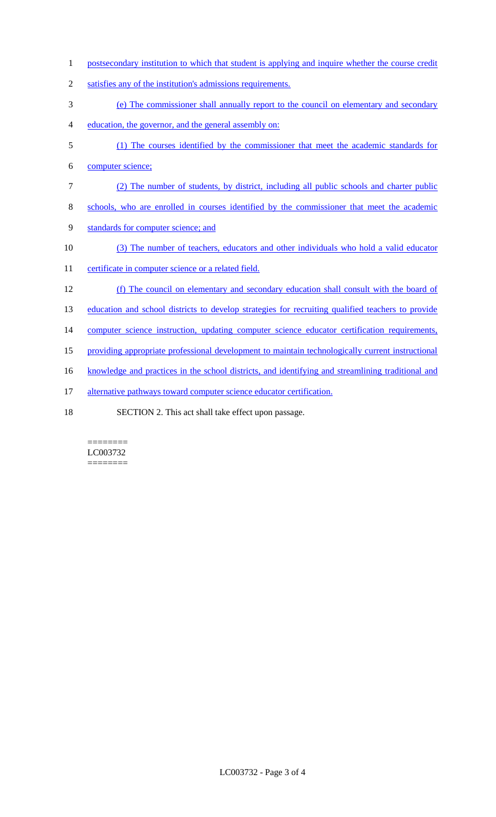- 1 postsecondary institution to which that student is applying and inquire whether the course credit
- 2 satisfies any of the institution's admissions requirements.
- 3 (e) The commissioner shall annually report to the council on elementary and secondary
- 4 education, the governor, and the general assembly on:
- 5 (1) The courses identified by the commissioner that meet the academic standards for
- 6 computer science;
- 7 (2) The number of students, by district, including all public schools and charter public
- 8 schools, who are enrolled in courses identified by the commissioner that meet the academic
- 9 standards for computer science; and
- 10 (3) The number of teachers, educators and other individuals who hold a valid educator
- 11 certificate in computer science or a related field.
- 12 (f) The council on elementary and secondary education shall consult with the board of
- 13 education and school districts to develop strategies for recruiting qualified teachers to provide
- 14 computer science instruction, updating computer science educator certification requirements,
- 15 providing appropriate professional development to maintain technologically current instructional
- 16 knowledge and practices in the school districts, and identifying and streamlining traditional and
- 17 alternative pathways toward computer science educator certification.
- 18 SECTION 2. This act shall take effect upon passage.

#### ======== LC003732 ========